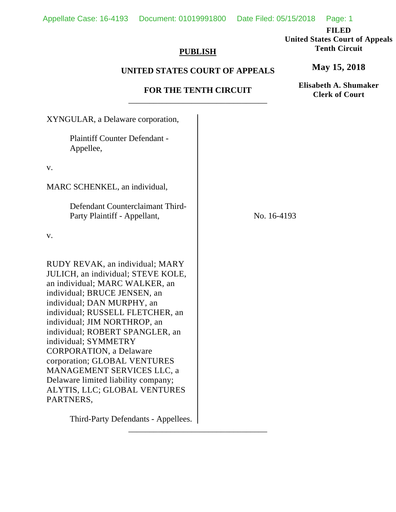**FILED** 

**United States Court of Appeals Tenth Circuit** 

### **PUBLISH**

# **UNITED STATES COURT OF APPEALS**

### **FOR THE TENTH CIRCUIT**  \_\_\_\_\_\_\_\_\_\_\_\_\_\_\_\_\_\_\_\_\_\_\_\_\_\_\_\_\_\_\_\_\_

XYNGULAR, a Delaware corporation, Plaintiff Counter Defendant - Appellee, v. MARC SCHENKEL, an individual, Defendant Counterclaimant Third- Party Plaintiff - Appellant, v. RUDY REVAK, an individual; MARY JULICH, an individual; STEVE KOLE, an individual; MARC WALKER, an individual; BRUCE JENSEN, an individual; DAN MURPHY, an individual; RUSSELL FLETCHER, an individual; JIM NORTHROP, an individual; ROBERT SPANGLER, an individual; SYMMETRY CORPORATION, a Delaware corporation; GLOBAL VENTURES MANAGEMENT SERVICES LLC, a Delaware limited liability company; ALYTIS, LLC; GLOBAL VENTURES PARTNERS, Third-Party Defendants - Appellees. No. 16-4193

\_\_\_\_\_\_\_\_\_\_\_\_\_\_\_\_\_\_\_\_\_\_\_\_\_\_\_\_\_\_\_\_\_

**May 15, 2018**

**Elisabeth A. Shumaker Clerk of Court**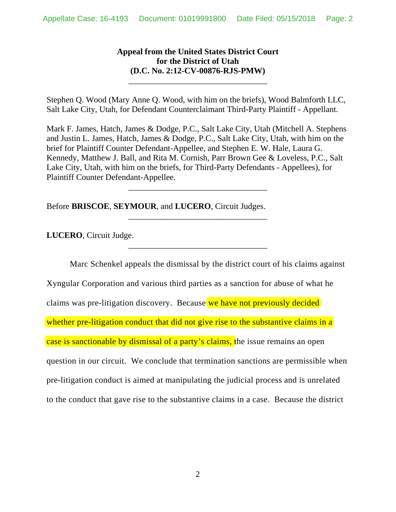# **Appeal from the United States District Court for the District of Utah (D.C. No. 2:12-CV-00876-RJS-PMW)**

\_\_\_\_\_\_\_\_\_\_\_\_\_\_\_\_\_\_\_\_\_\_\_\_\_\_\_\_\_\_\_\_\_

Stephen Q. Wood (Mary Anne Q. Wood, with him on the briefs), Wood Balmforth LLC, Salt Lake City, Utah, for Defendant Counterclaimant Third-Party Plaintiff - Appellant.

Mark F. James, Hatch, James & Dodge, P.C., Salt Lake City, Utah (Mitchell A. Stephens and Justin L. James, Hatch, James & Dodge, P.C., Salt Lake City, Utah, with him on the brief for Plaintiff Counter Defendant-Appellee, and Stephen E. W. Hale, Laura G. Kennedy, Matthew J. Ball, and Rita M. Cornish, Parr Brown Gee & Loveless, P.C., Salt Lake City, Utah, with him on the briefs, for Third-Party Defendants - Appellees), for Plaintiff Counter Defendant-Appellee.

\_\_\_\_\_\_\_\_\_\_\_\_\_\_\_\_\_\_\_\_\_\_\_\_\_\_\_\_\_\_\_\_\_

\_\_\_\_\_\_\_\_\_\_\_\_\_\_\_\_\_\_\_\_\_\_\_\_\_\_\_\_\_\_\_\_\_

\_\_\_\_\_\_\_\_\_\_\_\_\_\_\_\_\_\_\_\_\_\_\_\_\_\_\_\_\_\_\_\_\_

Before **BRISCOE**, **SEYMOUR**, and **LUCERO**, Circuit Judges.

**LUCERO**, Circuit Judge.

Marc Schenkel appeals the dismissal by the district court of his claims against Xyngular Corporation and various third parties as a sanction for abuse of what he claims was pre-litigation discovery. Because we have not previously decided whether pre-litigation conduct that did not give rise to the substantive claims in a case is sanctionable by dismissal of a party's claims, the issue remains an open question in our circuit. We conclude that termination sanctions are permissible when pre-litigation conduct is aimed at manipulating the judicial process and is unrelated to the conduct that gave rise to the substantive claims in a case. Because the district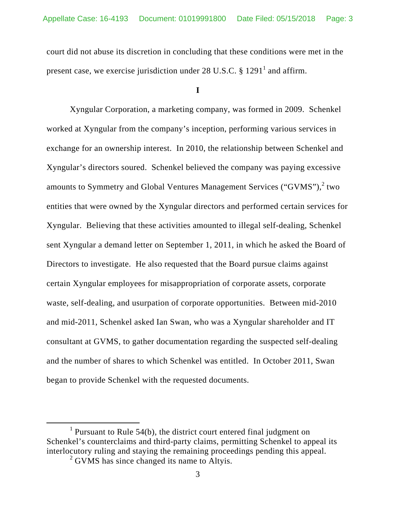court did not abuse its discretion in concluding that these conditions were met in the present case, we exercise jurisdiction under 28 U.S.C.  $\S 1291^1$  and affirm.

**I** 

Xyngular Corporation, a marketing company, was formed in 2009. Schenkel worked at Xyngular from the company's inception, performing various services in exchange for an ownership interest. In 2010, the relationship between Schenkel and Xyngular's directors soured. Schenkel believed the company was paying excessive amounts to Symmetry and Global Ventures Management Services ("GVMS"), $^2$  two entities that were owned by the Xyngular directors and performed certain services for Xyngular. Believing that these activities amounted to illegal self-dealing, Schenkel sent Xyngular a demand letter on September 1, 2011, in which he asked the Board of Directors to investigate. He also requested that the Board pursue claims against certain Xyngular employees for misappropriation of corporate assets, corporate waste, self-dealing, and usurpation of corporate opportunities. Between mid-2010 and mid-2011, Schenkel asked Ian Swan, who was a Xyngular shareholder and IT consultant at GVMS, to gather documentation regarding the suspected self-dealing and the number of shares to which Schenkel was entitled. In October 2011, Swan began to provide Schenkel with the requested documents.

 $\frac{1}{1}$ <sup>1</sup> Pursuant to Rule 54(b), the district court entered final judgment on Schenkel's counterclaims and third-party claims, permitting Schenkel to appeal its interlocutory ruling and staying the remaining proceedings pending this appeal.

<sup>&</sup>lt;sup>2</sup> GVMS has since changed its name to Altyis.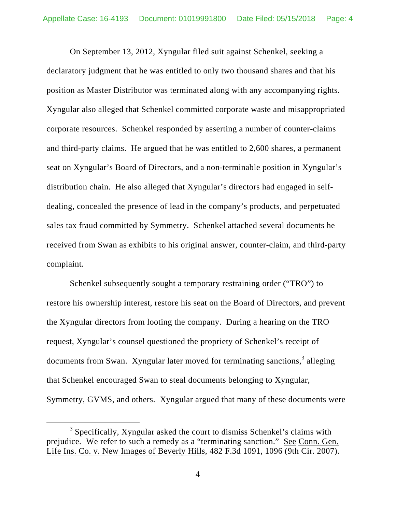On September 13, 2012, Xyngular filed suit against Schenkel, seeking a declaratory judgment that he was entitled to only two thousand shares and that his position as Master Distributor was terminated along with any accompanying rights. Xyngular also alleged that Schenkel committed corporate waste and misappropriated corporate resources. Schenkel responded by asserting a number of counter-claims and third-party claims. He argued that he was entitled to 2,600 shares, a permanent seat on Xyngular's Board of Directors, and a non-terminable position in Xyngular's distribution chain. He also alleged that Xyngular's directors had engaged in selfdealing, concealed the presence of lead in the company's products, and perpetuated sales tax fraud committed by Symmetry. Schenkel attached several documents he received from Swan as exhibits to his original answer, counter-claim, and third-party complaint.

Schenkel subsequently sought a temporary restraining order ("TRO") to restore his ownership interest, restore his seat on the Board of Directors, and prevent the Xyngular directors from looting the company. During a hearing on the TRO request, Xyngular's counsel questioned the propriety of Schenkel's receipt of documents from Swan. Xyngular later moved for terminating sanctions,<sup>3</sup> alleging that Schenkel encouraged Swan to steal documents belonging to Xyngular, Symmetry, GVMS, and others. Xyngular argued that many of these documents were

 $\frac{1}{3}$  $3$  Specifically, Xyngular asked the court to dismiss Schenkel's claims with prejudice. We refer to such a remedy as a "terminating sanction." See Conn. Gen. Life Ins. Co. v. New Images of Beverly Hills, 482 F.3d 1091, 1096 (9th Cir. 2007).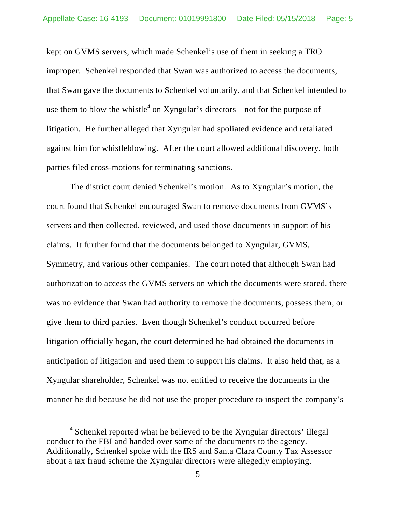kept on GVMS servers, which made Schenkel's use of them in seeking a TRO improper. Schenkel responded that Swan was authorized to access the documents, that Swan gave the documents to Schenkel voluntarily, and that Schenkel intended to use them to blow the whistle<sup>4</sup> on Xyngular's directors—not for the purpose of litigation. He further alleged that Xyngular had spoliated evidence and retaliated against him for whistleblowing. After the court allowed additional discovery, both parties filed cross-motions for terminating sanctions.

The district court denied Schenkel's motion. As to Xyngular's motion, the court found that Schenkel encouraged Swan to remove documents from GVMS's servers and then collected, reviewed, and used those documents in support of his claims. It further found that the documents belonged to Xyngular, GVMS, Symmetry, and various other companies. The court noted that although Swan had authorization to access the GVMS servers on which the documents were stored, there was no evidence that Swan had authority to remove the documents, possess them, or give them to third parties. Even though Schenkel's conduct occurred before litigation officially began, the court determined he had obtained the documents in anticipation of litigation and used them to support his claims. It also held that, as a Xyngular shareholder, Schenkel was not entitled to receive the documents in the manner he did because he did not use the proper procedure to inspect the company's

 $\frac{1}{4}$ <sup>4</sup> Schenkel reported what he believed to be the Xyngular directors' illegal conduct to the FBI and handed over some of the documents to the agency. Additionally, Schenkel spoke with the IRS and Santa Clara County Tax Assessor about a tax fraud scheme the Xyngular directors were allegedly employing.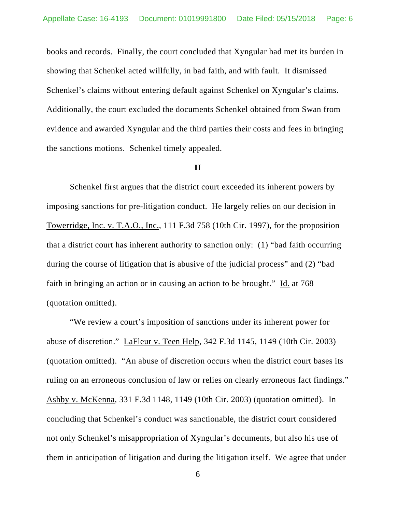books and records. Finally, the court concluded that Xyngular had met its burden in showing that Schenkel acted willfully, in bad faith, and with fault. It dismissed Schenkel's claims without entering default against Schenkel on Xyngular's claims. Additionally, the court excluded the documents Schenkel obtained from Swan from evidence and awarded Xyngular and the third parties their costs and fees in bringing the sanctions motions. Schenkel timely appealed.

### **II**

Schenkel first argues that the district court exceeded its inherent powers by imposing sanctions for pre-litigation conduct. He largely relies on our decision in Towerridge, Inc. v. T.A.O., Inc., 111 F.3d 758 (10th Cir. 1997), for the proposition that a district court has inherent authority to sanction only: (1) "bad faith occurring during the course of litigation that is abusive of the judicial process" and (2) "bad faith in bringing an action or in causing an action to be brought." Id. at 768 (quotation omitted).

"We review a court's imposition of sanctions under its inherent power for abuse of discretion." LaFleur v. Teen Help, 342 F.3d 1145, 1149 (10th Cir. 2003) (quotation omitted). "An abuse of discretion occurs when the district court bases its ruling on an erroneous conclusion of law or relies on clearly erroneous fact findings." Ashby v. McKenna, 331 F.3d 1148, 1149 (10th Cir. 2003) (quotation omitted). In concluding that Schenkel's conduct was sanctionable, the district court considered not only Schenkel's misappropriation of Xyngular's documents, but also his use of them in anticipation of litigation and during the litigation itself. We agree that under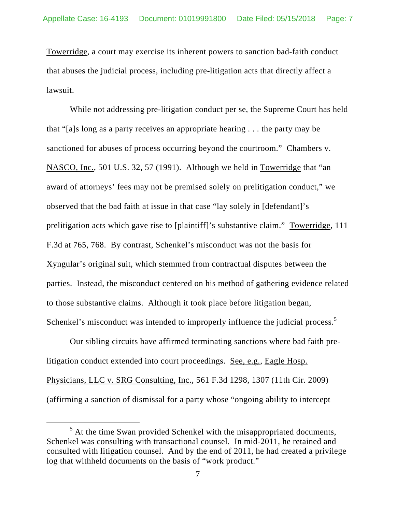Towerridge, a court may exercise its inherent powers to sanction bad-faith conduct that abuses the judicial process, including pre-litigation acts that directly affect a lawsuit.

While not addressing pre-litigation conduct per se, the Supreme Court has held that "[a]s long as a party receives an appropriate hearing . . . the party may be sanctioned for abuses of process occurring beyond the courtroom." Chambers v. NASCO, Inc., 501 U.S. 32, 57 (1991). Although we held in Towerridge that "an award of attorneys' fees may not be premised solely on prelitigation conduct," we observed that the bad faith at issue in that case "lay solely in [defendant]'s prelitigation acts which gave rise to [plaintiff]'s substantive claim." Towerridge, 111 F.3d at 765, 768. By contrast, Schenkel's misconduct was not the basis for Xyngular's original suit, which stemmed from contractual disputes between the parties. Instead, the misconduct centered on his method of gathering evidence related to those substantive claims. Although it took place before litigation began, Schenkel's misconduct was intended to improperly influence the judicial process.<sup>5</sup>

Our sibling circuits have affirmed terminating sanctions where bad faith prelitigation conduct extended into court proceedings. See, e.g., Eagle Hosp. Physicians, LLC v. SRG Consulting, Inc., 561 F.3d 1298, 1307 (11th Cir. 2009) (affirming a sanction of dismissal for a party whose "ongoing ability to intercept

 $\frac{1}{5}$  $<sup>5</sup>$  At the time Swan provided Schenkel with the misappropriated documents,</sup> Schenkel was consulting with transactional counsel. In mid-2011, he retained and consulted with litigation counsel. And by the end of 2011, he had created a privilege log that withheld documents on the basis of "work product."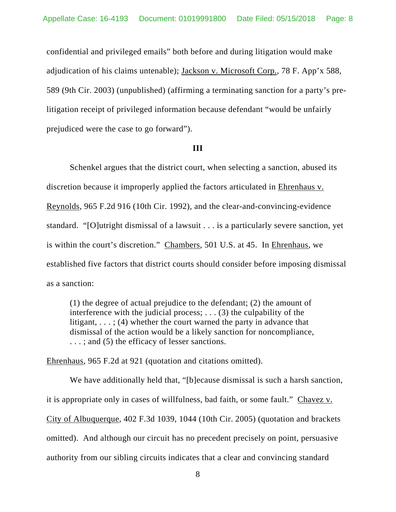confidential and privileged emails" both before and during litigation would make adjudication of his claims untenable); Jackson v. Microsoft Corp., 78 F. App'x 588, 589 (9th Cir. 2003) (unpublished) (affirming a terminating sanction for a party's prelitigation receipt of privileged information because defendant "would be unfairly prejudiced were the case to go forward").

#### **III**

Schenkel argues that the district court, when selecting a sanction, abused its discretion because it improperly applied the factors articulated in Ehrenhaus v. Reynolds, 965 F.2d 916 (10th Cir. 1992), and the clear-and-convincing-evidence standard. "[O]utright dismissal of a lawsuit . . . is a particularly severe sanction, yet is within the court's discretion." Chambers, 501 U.S. at 45. In Ehrenhaus, we established five factors that district courts should consider before imposing dismissal as a sanction:

(1) the degree of actual prejudice to the defendant; (2) the amount of interference with the judicial process;  $\ldots$  (3) the culpability of the litigant,  $\ldots$ ; (4) whether the court warned the party in advance that dismissal of the action would be a likely sanction for noncompliance, ...; and (5) the efficacy of lesser sanctions.

Ehrenhaus, 965 F.2d at 921 (quotation and citations omitted).

We have additionally held that, "[b]ecause dismissal is such a harsh sanction, it is appropriate only in cases of willfulness, bad faith, or some fault." Chavez v. City of Albuquerque, 402 F.3d 1039, 1044 (10th Cir. 2005) (quotation and brackets omitted). And although our circuit has no precedent precisely on point, persuasive authority from our sibling circuits indicates that a clear and convincing standard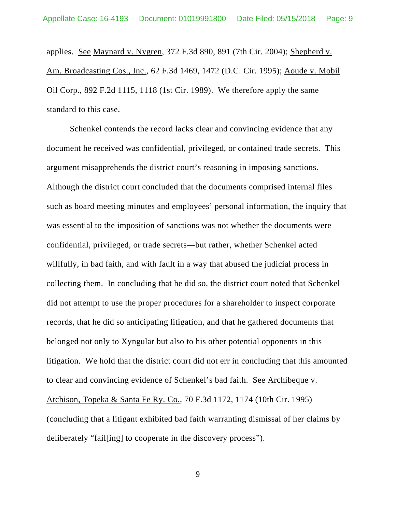applies. See Maynard v. Nygren, 372 F.3d 890, 891 (7th Cir. 2004); Shepherd v. Am. Broadcasting Cos., Inc., 62 F.3d 1469, 1472 (D.C. Cir. 1995); Aoude v. Mobil Oil Corp., 892 F.2d 1115, 1118 (1st Cir. 1989). We therefore apply the same standard to this case.

Schenkel contends the record lacks clear and convincing evidence that any document he received was confidential, privileged, or contained trade secrets. This argument misapprehends the district court's reasoning in imposing sanctions. Although the district court concluded that the documents comprised internal files such as board meeting minutes and employees' personal information, the inquiry that was essential to the imposition of sanctions was not whether the documents were confidential, privileged, or trade secrets—but rather, whether Schenkel acted willfully, in bad faith, and with fault in a way that abused the judicial process in collecting them. In concluding that he did so, the district court noted that Schenkel did not attempt to use the proper procedures for a shareholder to inspect corporate records, that he did so anticipating litigation, and that he gathered documents that belonged not only to Xyngular but also to his other potential opponents in this litigation. We hold that the district court did not err in concluding that this amounted to clear and convincing evidence of Schenkel's bad faith. See Archibeque v. Atchison, Topeka & Santa Fe Ry. Co., 70 F.3d 1172, 1174 (10th Cir. 1995) (concluding that a litigant exhibited bad faith warranting dismissal of her claims by deliberately "fail[ing] to cooperate in the discovery process").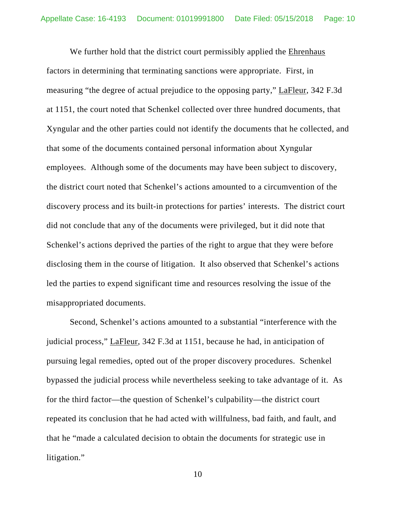We further hold that the district court permissibly applied the Ehrenhaus factors in determining that terminating sanctions were appropriate. First, in measuring "the degree of actual prejudice to the opposing party," LaFleur, 342 F.3d at 1151, the court noted that Schenkel collected over three hundred documents, that Xyngular and the other parties could not identify the documents that he collected, and that some of the documents contained personal information about Xyngular employees. Although some of the documents may have been subject to discovery, the district court noted that Schenkel's actions amounted to a circumvention of the discovery process and its built-in protections for parties' interests. The district court did not conclude that any of the documents were privileged, but it did note that Schenkel's actions deprived the parties of the right to argue that they were before disclosing them in the course of litigation. It also observed that Schenkel's actions led the parties to expend significant time and resources resolving the issue of the misappropriated documents.

Second, Schenkel's actions amounted to a substantial "interference with the judicial process," LaFleur, 342 F.3d at 1151, because he had, in anticipation of pursuing legal remedies, opted out of the proper discovery procedures. Schenkel bypassed the judicial process while nevertheless seeking to take advantage of it. As for the third factor—the question of Schenkel's culpability—the district court repeated its conclusion that he had acted with willfulness, bad faith, and fault, and that he "made a calculated decision to obtain the documents for strategic use in litigation."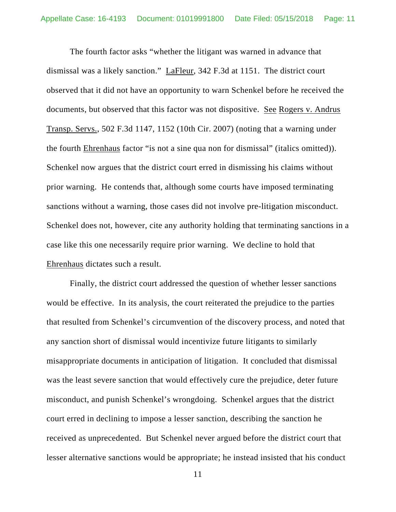The fourth factor asks "whether the litigant was warned in advance that dismissal was a likely sanction." LaFleur, 342 F.3d at 1151. The district court observed that it did not have an opportunity to warn Schenkel before he received the documents, but observed that this factor was not dispositive. See Rogers v. Andrus Transp. Servs., 502 F.3d 1147, 1152 (10th Cir. 2007) (noting that a warning under the fourth Ehrenhaus factor "is not a sine qua non for dismissal" (italics omitted)). Schenkel now argues that the district court erred in dismissing his claims without prior warning. He contends that, although some courts have imposed terminating sanctions without a warning, those cases did not involve pre-litigation misconduct. Schenkel does not, however, cite any authority holding that terminating sanctions in a case like this one necessarily require prior warning. We decline to hold that Ehrenhaus dictates such a result.

Finally, the district court addressed the question of whether lesser sanctions would be effective. In its analysis, the court reiterated the prejudice to the parties that resulted from Schenkel's circumvention of the discovery process, and noted that any sanction short of dismissal would incentivize future litigants to similarly misappropriate documents in anticipation of litigation. It concluded that dismissal was the least severe sanction that would effectively cure the prejudice, deter future misconduct, and punish Schenkel's wrongdoing. Schenkel argues that the district court erred in declining to impose a lesser sanction, describing the sanction he received as unprecedented. But Schenkel never argued before the district court that lesser alternative sanctions would be appropriate; he instead insisted that his conduct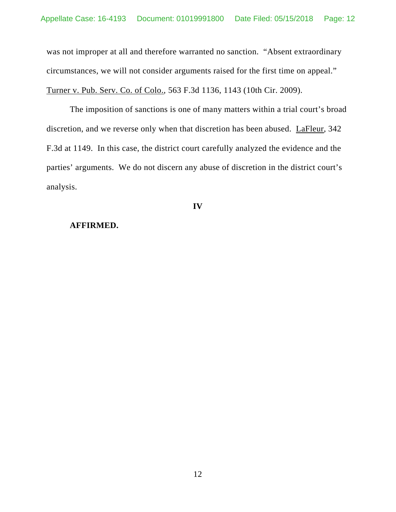was not improper at all and therefore warranted no sanction. "Absent extraordinary circumstances, we will not consider arguments raised for the first time on appeal." Turner v. Pub. Serv. Co. of Colo., 563 F.3d 1136, 1143 (10th Cir. 2009).

The imposition of sanctions is one of many matters within a trial court's broad discretion, and we reverse only when that discretion has been abused. LaFleur, 342 F.3d at 1149. In this case, the district court carefully analyzed the evidence and the parties' arguments. We do not discern any abuse of discretion in the district court's analysis.

**IV** 

#### **AFFIRMED.**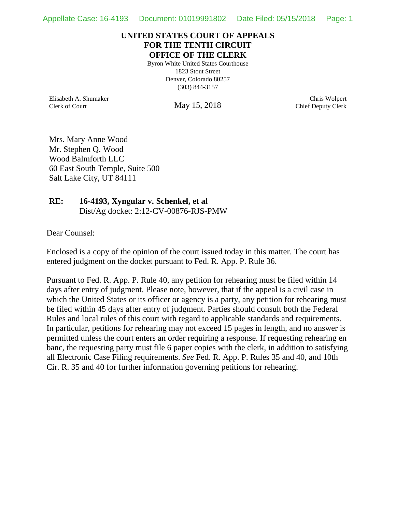### **UNITED STATES COURT OF APPEALS FOR THE TENTH CIRCUIT OFFICE OF THE CLERK**

Byron White United States Courthouse 1823 Stout Street Denver, Colorado 80257 (303) 844-3157

Elisabeth A. Shumaker Clerk of Court

May 15, 2018

Chris Wolpert Chief Deputy Clerk

Mrs. Mary Anne Wood Mr. Stephen Q. Wood Wood Balmforth LLC 60 East South Temple, Suite 500 Salt Lake City, UT 84111

# **RE: 16-4193, Xyngular v. Schenkel, et al** Dist/Ag docket: 2:12-CV-00876-RJS-PMW

Dear Counsel:

Enclosed is a copy of the opinion of the court issued today in this matter. The court has entered judgment on the docket pursuant to Fed. R. App. P. Rule 36.

Pursuant to Fed. R. App. P. Rule 40, any petition for rehearing must be filed within 14 days after entry of judgment. Please note, however, that if the appeal is a civil case in which the United States or its officer or agency is a party, any petition for rehearing must be filed within 45 days after entry of judgment. Parties should consult both the Federal Rules and local rules of this court with regard to applicable standards and requirements. In particular, petitions for rehearing may not exceed 15 pages in length, and no answer is permitted unless the court enters an order requiring a response. If requesting rehearing en banc, the requesting party must file 6 paper copies with the clerk, in addition to satisfying all Electronic Case Filing requirements. *See* Fed. R. App. P. Rules 35 and 40, and 10th Cir. R. 35 and 40 for further information governing petitions for rehearing.